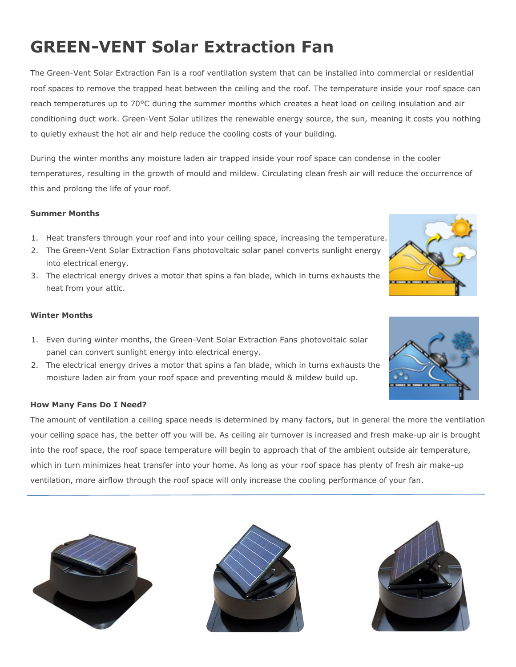# **GREEN-VENT Solar Extraction Fan**

The Green-Vent Solar Extraction Fan is a roof ventilation system that can be installed into commercial or residential roof spaces to remove the trapped heat between the ceiling and the roof. The temperature inside your roof space can reach temperatures up to 70°C during the summer months which creates a heat load on ceiling insulation and air conditioning duct work. Green-Vent Solar utilizes the renewable energy source, the sun, meaning it costs you nothing to quietly exhaust the hot air and help reduce the cooling costs of your building.

During the winter months any moisture laden air trapped inside your roof space can condense in the cooler temperatures, resulting in the growth of mould and mildew. Circulating clean fresh air will reduce the occurrence of this and prolong the life of your roof.

### **Summer Months**

- 1. Heat transfers through your roof and into your ceiling space, increasing the temperature.
- 2. The Green-Vent Solar Extraction Fans photovoltaic solar panel converts sunlight energy into electrical energy.
- 3. The electrical energy drives a motor that spins a fan blade, which in turns exhausts the heat from your attic.

### **Winter Months**

- 1. Even during winter months, the Green-Vent Solar Extraction Fans photovoltaic solar panel can convert sunlight energy into electrical energy.
- 2. The electrical energy drives a motor that spins a fan blade, which in turns exhausts the moisture laden air from your roof space and preventing mould & mildew build up.

### **How Many Fans Do I Need?**

The amount of ventilation a ceiling space needs is determined by many factors, but in general the more the ventilation your ceiling space has, the better off you will be. As ceiling air turnover is increased and fresh make-up air is brought into the roof space, the roof space temperature will begin to approach that of the ambient outside air temperature, which in turn minimizes heat transfer into your home. As long as your roof space has plenty of fresh air make-up ventilation, more airflow through the roof space will only increase the cooling performance of your fan.